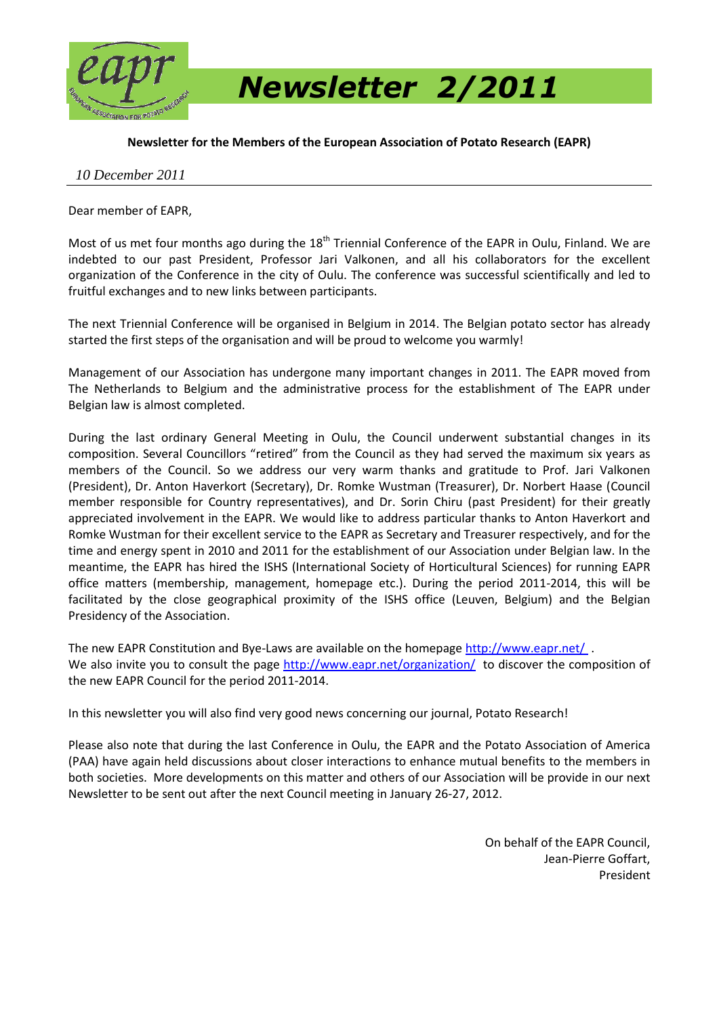

**Newsletter for the Members of the European Association of Potato Research (EAPR)**

#### *10 December 2011*

Dear member of EAPR,

Most of us met four months ago during the  $18<sup>th</sup>$  Triennial Conference of the EAPR in Oulu, Finland. We are indebted to our past President, Professor Jari Valkonen, and all his collaborators for the excellent organization of the Conference in the city of Oulu. The conference was successful scientifically and led to fruitful exchanges and to new links between participants.

The next Triennial Conference will be organised in Belgium in 2014. The Belgian potato sector has already started the first steps of the organisation and will be proud to welcome you warmly!

Management of our Association has undergone many important changes in 2011. The EAPR moved from The Netherlands to Belgium and the administrative process for the establishment of The EAPR under Belgian law is almost completed.

During the last ordinary General Meeting in Oulu, the Council underwent substantial changes in its composition. Several Councillors "retired" from the Council as they had served the maximum six years as members of the Council. So we address our very warm thanks and gratitude to Prof. Jari Valkonen (President), Dr. Anton Haverkort (Secretary), Dr. Romke Wustman (Treasurer), Dr. Norbert Haase (Council member responsible for Country representatives), and Dr. Sorin Chiru (past President) for their greatly appreciated involvement in the EAPR. We would like to address particular thanks to Anton Haverkort and Romke Wustman for their excellent service to the EAPR as Secretary and Treasurer respectively, and for the time and energy spent in 2010 and 2011 for the establishment of our Association under Belgian law. In the meantime, the EAPR has hired the ISHS (International Society of Horticultural Sciences) for running EAPR office matters (membership, management, homepage etc.). During the period 2011-2014, this will be facilitated by the close geographical proximity of the ISHS office (Leuven, Belgium) and the Belgian Presidency of the Association.

The new EAPR Constitution and Bye-Laws are available on the homepage<http://www.eapr.net/> . We also invite you to consult the page<http://www.eapr.net/organization/> to discover the composition of the new EAPR Council for the period 2011-2014.

In this newsletter you will also find very good news concerning our journal, Potato Research!

Please also note that during the last Conference in Oulu, the EAPR and the Potato Association of America (PAA) have again held discussions about closer interactions to enhance mutual benefits to the members in both societies. More developments on this matter and others of our Association will be provide in our next Newsletter to be sent out after the next Council meeting in January 26-27, 2012.

> On behalf of the EAPR Council, Jean-Pierre Goffart, President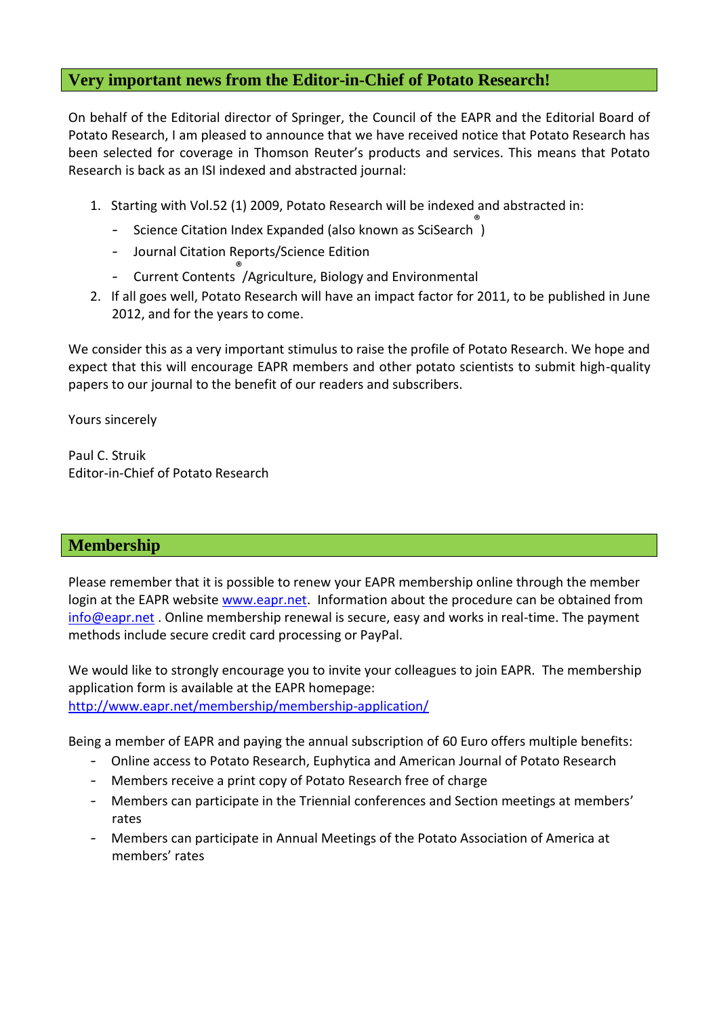### **Very important news from the Editor-in-Chief of Potato Research!**

On behalf of the Editorial director of Springer, the Council of the EAPR and the Editorial Board of Potato Research, I am pleased to announce that we have received notice that Potato Research has been selected for coverage in Thomson Reuter's products and services. This means that Potato Research is back as an ISI indexed and abstracted journal:

- 1. Starting with Vol.52 (1) 2009, Potato Research will be indexed and abstracted in:
	- Science Citation Index Expanded (also known as SciSearch )
	- Journal Citation Reports/Science Edition
	- Current Contents ® /Agriculture, Biology and Environmental
- 2. If all goes well, Potato Research will have an impact factor for 2011, to be published in June 2012, and for the years to come.

We consider this as a very important stimulus to raise the profile of Potato Research. We hope and expect that this will encourage EAPR members and other potato scientists to submit high-quality papers to our journal to the benefit of our readers and subscribers.

Yours sincerely

Paul C. Struik Editor-in-Chief of Potato Research

## **Membership**

Please remember that it is possible to renew your EAPR membership online through the member login at the EAPR website [www.eapr.net.](http://www.eapr.net/) Information about the procedure can be obtained from [info@eapr.net](mailto:info@eapr.net) . Online membership renewal is secure, easy and works in real-time. The payment methods include secure credit card processing or PayPal.

We would like to strongly encourage you to invite your colleagues to join EAPR. The membership application form is available at the EAPR homepage: <http://www.eapr.net/membership/membership-application/>

Being a member of EAPR and paying the annual subscription of 60 Euro offers multiple benefits:

- Online access to Potato Research, Euphytica and American Journal of Potato Research
- Members receive a print copy of Potato Research free of charge
- Members can participate in the Triennial conferences and Section meetings at members' rates
- Members can participate in Annual Meetings of the Potato Association of America at members' rates